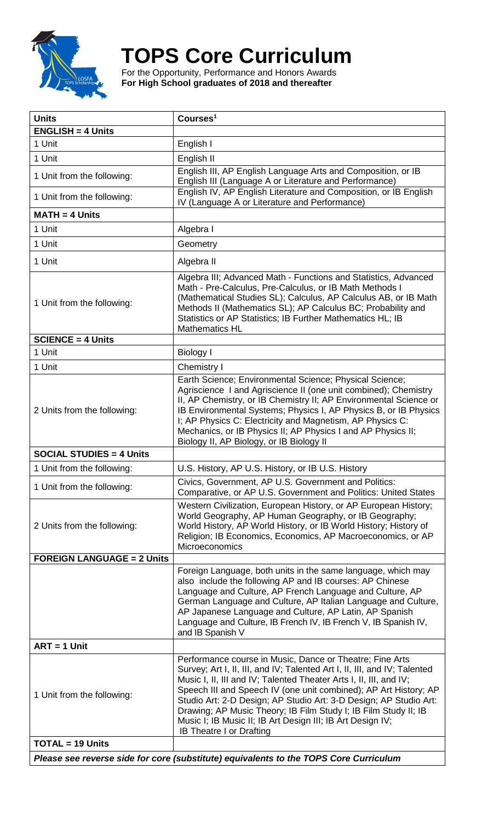

## **TOPS Core Curriculum**

For the Opportunity, Performance and Honors Awards **For High School graduates of 2018 and thereafter**

| <b>Units</b>                                                                          | Courses <sup>1</sup>                                                                                                                                                                                                                                                                                                                                                                                                                                                                                                     |  |
|---------------------------------------------------------------------------------------|--------------------------------------------------------------------------------------------------------------------------------------------------------------------------------------------------------------------------------------------------------------------------------------------------------------------------------------------------------------------------------------------------------------------------------------------------------------------------------------------------------------------------|--|
| $ENGLISH = 4 Units$                                                                   |                                                                                                                                                                                                                                                                                                                                                                                                                                                                                                                          |  |
| 1 Unit                                                                                | English I                                                                                                                                                                                                                                                                                                                                                                                                                                                                                                                |  |
| 1 Unit                                                                                | English II                                                                                                                                                                                                                                                                                                                                                                                                                                                                                                               |  |
| 1 Unit from the following:                                                            | English III, AP English Language Arts and Composition, or IB<br>English III (Language A or Literature and Performance)                                                                                                                                                                                                                                                                                                                                                                                                   |  |
| 1 Unit from the following:                                                            | English IV, AP English Literature and Composition, or IB English<br>IV (Language A or Literature and Performance)                                                                                                                                                                                                                                                                                                                                                                                                        |  |
| $MATH = 4$ Units                                                                      |                                                                                                                                                                                                                                                                                                                                                                                                                                                                                                                          |  |
| 1 Unit                                                                                | Algebra I                                                                                                                                                                                                                                                                                                                                                                                                                                                                                                                |  |
| 1 Unit                                                                                | Geometry                                                                                                                                                                                                                                                                                                                                                                                                                                                                                                                 |  |
| 1 Unit                                                                                | Algebra II                                                                                                                                                                                                                                                                                                                                                                                                                                                                                                               |  |
| 1 Unit from the following:                                                            | Algebra III; Advanced Math - Functions and Statistics, Advanced<br>Math - Pre-Calculus, Pre-Calculus, or IB Math Methods I<br>(Mathematical Studies SL); Calculus, AP Calculus AB, or IB Math<br>Methods II (Mathematics SL); AP Calculus BC; Probability and<br>Statistics or AP Statistics; IB Further Mathematics HL; IB<br><b>Mathematics HL</b>                                                                                                                                                                     |  |
| $SCIENCE = 4 Units$                                                                   |                                                                                                                                                                                                                                                                                                                                                                                                                                                                                                                          |  |
| 1 Unit                                                                                | <b>Biology I</b>                                                                                                                                                                                                                                                                                                                                                                                                                                                                                                         |  |
| 1 Unit                                                                                | Chemistry I                                                                                                                                                                                                                                                                                                                                                                                                                                                                                                              |  |
| 2 Units from the following:                                                           | Earth Science; Environmental Science; Physical Science;<br>Agriscience I and Agriscience II (one unit combined); Chemistry<br>II, AP Chemistry, or IB Chemistry II; AP Environmental Science or<br>IB Environmental Systems; Physics I, AP Physics B, or IB Physics<br>I; AP Physics C: Electricity and Magnetism, AP Physics C:<br>Mechanics, or IB Physics II; AP Physics I and AP Physics II;<br>Biology II, AP Biology, or IB Biology II                                                                             |  |
| <b>SOCIAL STUDIES = 4 Units</b>                                                       |                                                                                                                                                                                                                                                                                                                                                                                                                                                                                                                          |  |
| 1 Unit from the following:                                                            | U.S. History, AP U.S. History, or IB U.S. History                                                                                                                                                                                                                                                                                                                                                                                                                                                                        |  |
| 1 Unit from the following:                                                            | Civics, Government, AP U.S. Government and Politics:<br>Comparative, or AP U.S. Government and Politics: United States                                                                                                                                                                                                                                                                                                                                                                                                   |  |
| 2 Units from the following:                                                           | Western Civilization, European History, or AP European History;<br>World Geography, AP Human Geography, or IB Geography;<br>World History, AP World History, or IB World History; History of<br>Religion; IB Economics, Economics, AP Macroeconomics, or AP<br>Microeconomics                                                                                                                                                                                                                                            |  |
| <b>FOREIGN LANGUAGE = 2 Units</b>                                                     |                                                                                                                                                                                                                                                                                                                                                                                                                                                                                                                          |  |
|                                                                                       | Foreign Language, both units in the same language, which may<br>also include the following AP and IB courses: AP Chinese<br>Language and Culture, AP French Language and Culture, AP<br>German Language and Culture, AP Italian Language and Culture,<br>AP Japanese Language and Culture, AP Latin, AP Spanish<br>Language and Culture, IB French IV, IB French V, IB Spanish IV,<br>and IB Spanish V                                                                                                                   |  |
| $ART = 1$ Unit                                                                        |                                                                                                                                                                                                                                                                                                                                                                                                                                                                                                                          |  |
| 1 Unit from the following:                                                            | Performance course in Music, Dance or Theatre; Fine Arts<br>Survey; Art I, II, III, and IV; Talented Art I, II, III, and IV; Talented<br>Music I, II, III and IV; Talented Theater Arts I, II, III, and IV;<br>Speech III and Speech IV (one unit combined); AP Art History; AP<br>Studio Art: 2-D Design; AP Studio Art: 3-D Design; AP Studio Art:<br>Drawing; AP Music Theory; IB Film Study I; IB Film Study II; IB<br>Music I; IB Music II; IB Art Design III; IB Art Design IV;<br><b>IB Theatre I or Drafting</b> |  |
| <b>TOTAL = 19 Units</b>                                                               |                                                                                                                                                                                                                                                                                                                                                                                                                                                                                                                          |  |
| Please see reverse side for core (substitute) equivalents to the TOPS Core Curriculum |                                                                                                                                                                                                                                                                                                                                                                                                                                                                                                                          |  |